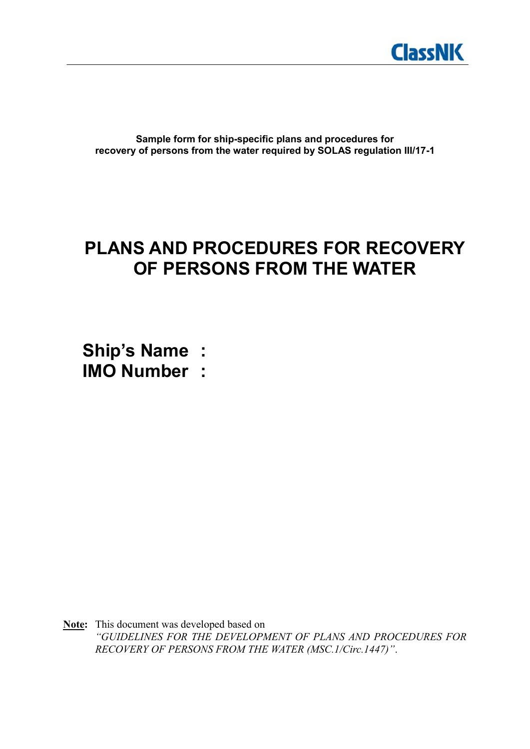

**Sample form for ship-specific plans and procedures for recovery of persons from the water required by SOLAS regulation III/17-1**

# **PLANS AND PROCEDURES FOR RECOVERY OF PERSONS FROM THE WATER**

**Ship's Name : IMO Number :**

**Note:** This document was developed based on *"GUIDELINES FOR THE DEVELOPMENT OF PLANS AND PROCEDURES FOR RECOVERY OF PERSONS FROM THE WATER (MSC.1/Circ.1447)"*.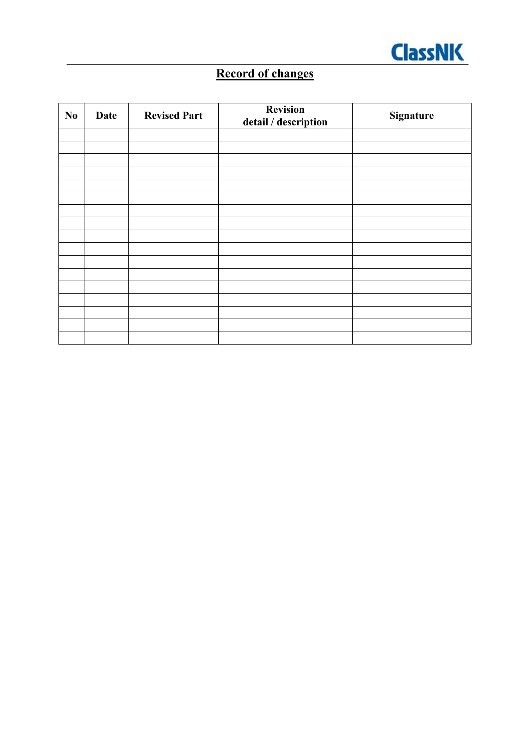

# **Record of changes**

| $\mathbf{N}\mathbf{0}$ | <b>Date</b> | <b>Revised Part</b> | Revision<br>detail / description | <b>Signature</b> |
|------------------------|-------------|---------------------|----------------------------------|------------------|
|                        |             |                     |                                  |                  |
|                        |             |                     |                                  |                  |
|                        |             |                     |                                  |                  |
|                        |             |                     |                                  |                  |
|                        |             |                     |                                  |                  |
|                        |             |                     |                                  |                  |
|                        |             |                     |                                  |                  |
|                        |             |                     |                                  |                  |
|                        |             |                     |                                  |                  |
|                        |             |                     |                                  |                  |
|                        |             |                     |                                  |                  |
|                        |             |                     |                                  |                  |
|                        |             |                     |                                  |                  |
|                        |             |                     |                                  |                  |
|                        |             |                     |                                  |                  |
|                        |             |                     |                                  |                  |
|                        |             |                     |                                  |                  |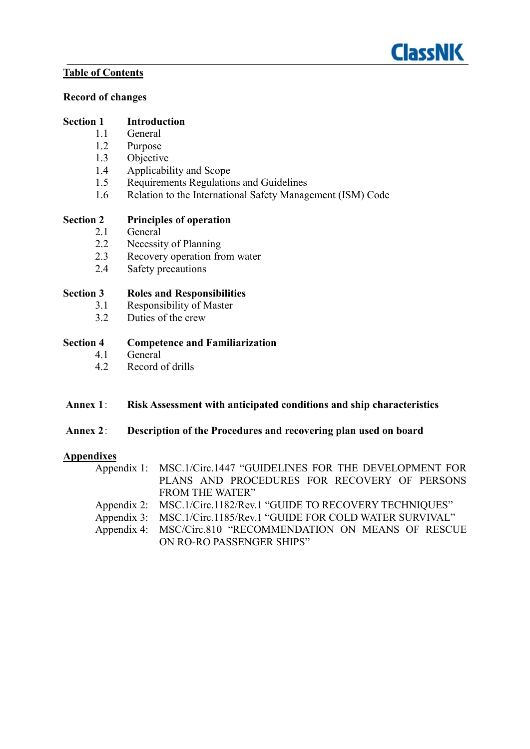

#### **Table of Contents**

#### **Record of changes**

#### **Section 1 Introduction**

- 1.1 General
- 1.2 Purpose
- 1.3 Objective
- 1.4 Applicability and Scope<br>1.5 Requirements Regulation
- Requirements Regulations and Guidelines
- 1.6 Relation to the International Safety Management (ISM) Code

#### **Section 2 Principles of operation**

- 2.1 General
- 2.2 Necessity of Planning
- 2.3 Recovery operation from water<br>2.4 Safety precautions
- Safety precautions

#### **Section 3 Roles and Responsibilities**

- 3.1 Responsibility of Master<br>3.2 Duties of the crew
- Duties of the crew

#### **Section 4 Competence and Familiarization**

- 4.1 General<br>4.2 Record of
- Record of drills

#### **Annex 1**: **Risk Assessment with anticipated conditions and ship characteristics**

#### **Annex 2**: **Description of the Procedures and recovering plan used on board**

#### **Appendixes**

| Appendix 1: MSC.1/Circ.1447 "GUIDELINES FOR THE DEVELOPMENT FOR   |
|-------------------------------------------------------------------|
| PLANS AND PROCEDURES FOR RECOVERY OF PERSONS                      |
| <b>FROM THE WATER"</b>                                            |
| Appendix 2: MSC.1/Circ.1182/Rev.1 "GUIDE TO RECOVERY TECHNIQUES"  |
| Appendix 3: MSC.1/Circ.1185/Rev.1 "GUIDE FOR COLD WATER SURVIVAL" |
| Appendix 4: MSC/Circ.810 "RECOMMENDATION ON MEANS OF RESCUE       |
| ON RO-RO PASSENGER SHIPS"                                         |
|                                                                   |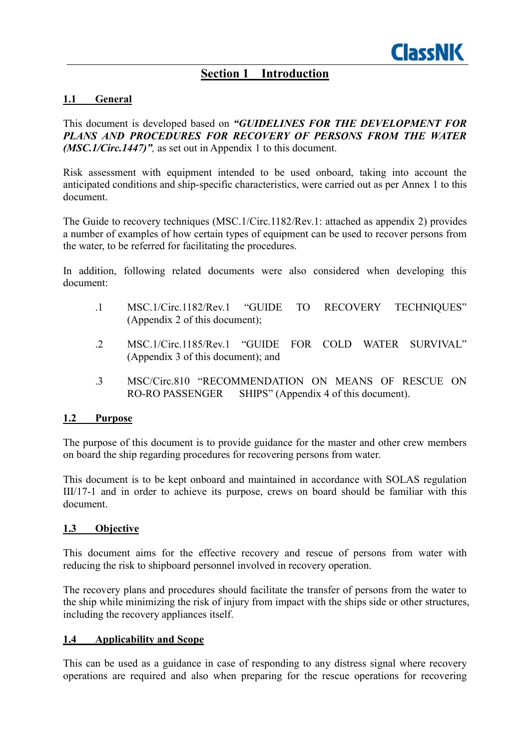## **Section 1 Introduction**

#### **1.1 General**

This document is developed based on *"GUIDELINES FOR THE DEVELOPMENT FOR PLANS AND PROCEDURES FOR RECOVERY OF PERSONS FROM THE WATER (MSC.1/Circ.1447)",* as set out in Appendix 1 to this document.

Risk assessment with equipment intended to be used onboard, taking into account the anticipated conditions and ship-specific characteristics, were carried out as per Annex 1 to this document.

The Guide to recovery techniques (MSC.1/Circ.1182/Rev.1: attached as appendix 2) provides a number of examples of how certain types of equipment can be used to recover persons from the water, to be referred for facilitating the procedures.

In addition, following related documents were also considered when developing this document:

- .1 MSC.1/Circ.1182/Rev.1 "GUIDE TO RECOVERY TECHNIQUES" (Appendix 2 of this document);
- .2 MSC.1/Circ.1185/Rev.1 "GUIDE FOR COLD WATER SURVIVAL" (Appendix 3 of this document); and
- .3 MSC/Circ.810 "RECOMMENDATION ON MEANS OF RESCUE ON RO-RO PASSENGER SHIPS" (Appendix 4 of this document).

#### **1.2 Purpose**

The purpose of this document is to provide guidance for the master and other crew members on board the ship regarding procedures for recovering persons from water.

This document is to be kept onboard and maintained in accordance with SOLAS regulation III/17-1 and in order to achieve its purpose, crews on board should be familiar with this document.

#### **1.3 Objective**

This document aims for the effective recovery and rescue of persons from water with reducing the risk to shipboard personnel involved in recovery operation.

The recovery plans and procedures should facilitate the transfer of persons from the water to the ship while minimizing the risk of injury from impact with the ships side or other structures, including the recovery appliances itself.

#### **1.4 Applicability and Scope**

This can be used as a guidance in case of responding to any distress signal where recovery operations are required and also when preparing for the rescue operations for recovering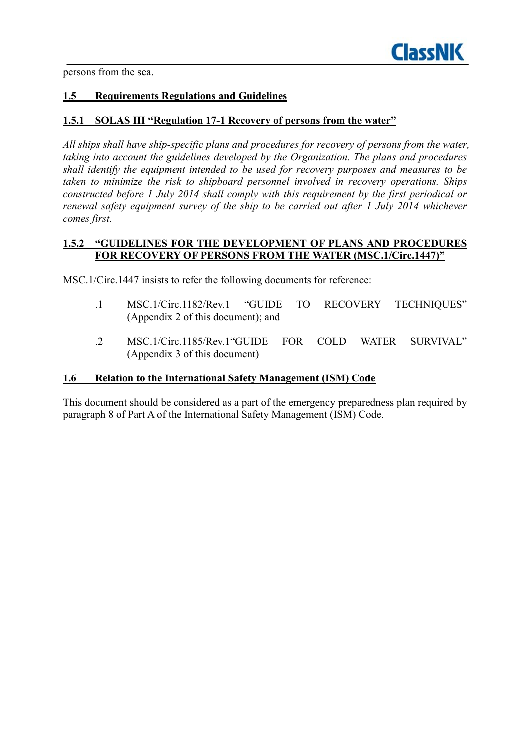

persons from the sea.

#### **1.5 Requirements Regulations and Guidelines**

#### **1.5.1 SOLAS III "Regulation 17-1 Recovery of persons from the water"**

*All ships shall have ship-specific plans and procedures for recovery of persons from the water, taking into account the guidelines developed by the Organization. The plans and procedures shall identify the equipment intended to be used for recovery purposes and measures to be taken to minimize the risk to shipboard personnel involved in recovery operations. Ships constructed before 1 July 2014 shall comply with this requirement by the first periodical or renewal safety equipment survey of the ship to be carried out after 1 July 2014 whichever comes first.* 

#### **1.5.2 "GUIDELINES FOR THE DEVELOPMENT OF PLANS AND PROCEDURES FOR RECOVERY OF PERSONS FROM THE WATER (MSC.1/Circ.1447)"**

MSC.1/Circ.1447 insists to refer the following documents for reference:

- .1 MSC.1/Circ.1182/Rev.1 "GUIDE TO RECOVERY TECHNIQUES" (Appendix 2 of this document); and
- .2 MSC.1/Circ.1185/Rev.1"GUIDE FOR COLD WATER SURVIVAL" (Appendix 3 of this document)

#### **1.6 Relation to the International Safety Management (ISM) Code**

This document should be considered as a part of the emergency preparedness plan required by paragraph 8 of Part A of the International Safety Management (ISM) Code.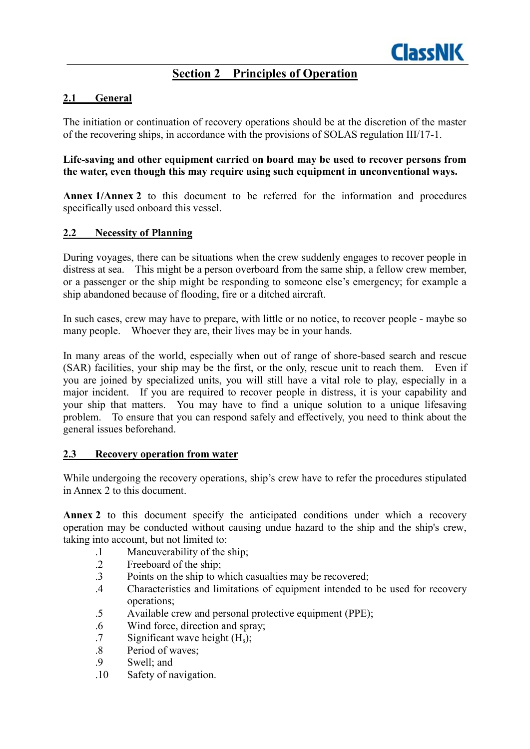### **Section 2 Principles of Operation**

#### **2.1 General**

The initiation or continuation of recovery operations should be at the discretion of the master of the recovering ships, in accordance with the provisions of SOLAS regulation III/17-1.

#### **Life-saving and other equipment carried on board may be used to recover persons from the water, even though this may require using such equipment in unconventional ways.**

**Annex 1/Annex 2** to this document to be referred for the information and procedures specifically used onboard this vessel.

#### **2.2 Necessity of Planning**

During voyages, there can be situations when the crew suddenly engages to recover people in distress at sea. This might be a person overboard from the same ship, a fellow crew member, or a passenger or the ship might be responding to someone else's emergency; for example a ship abandoned because of flooding, fire or a ditched aircraft.

In such cases, crew may have to prepare, with little or no notice, to recover people - maybe so many people. Whoever they are, their lives may be in your hands.

In many areas of the world, especially when out of range of shore-based search and rescue (SAR) facilities, your ship may be the first, or the only, rescue unit to reach them. Even if you are joined by specialized units, you will still have a vital role to play, especially in a major incident. If you are required to recover people in distress, it is your capability and your ship that matters. You may have to find a unique solution to a unique lifesaving problem. To ensure that you can respond safely and effectively, you need to think about the general issues beforehand.

#### **2.3 Recovery operation from water**

While undergoing the recovery operations, ship's crew have to refer the procedures stipulated in Annex 2 to this document.

Annex 2 to this document specify the anticipated conditions under which a recovery operation may be conducted without causing undue hazard to the ship and the ship's crew, taking into account, but not limited to:

- .1 Maneuverability of the ship;<br>2 Freeboard of the ship:
- Freeboard of the ship:
- .3 Points on the ship to which casualties may be recovered;
- .4 Characteristics and limitations of equipment intended to be used for recovery operations;
- .5 Available crew and personal protective equipment (PPE);
- .6 Wind force, direction and spray;
- $.7$  Significant wave height  $(H_s)$ ;
- .8 Period of waves;
- .9 Swell; and
- .10 Safety of navigation.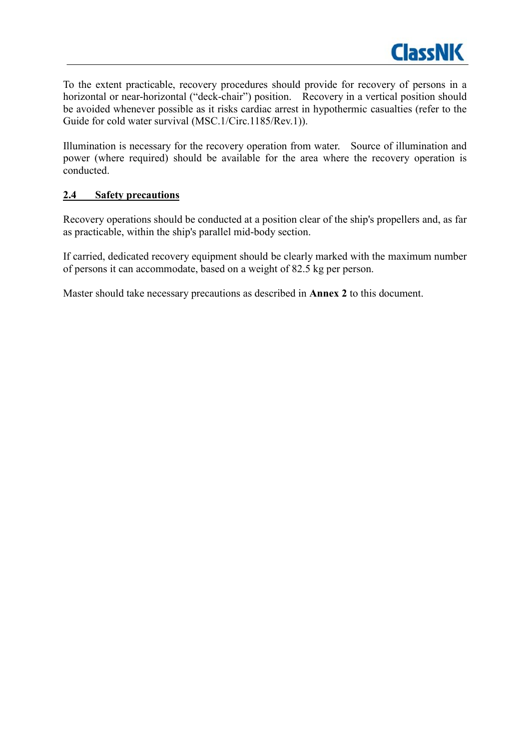

To the extent practicable, recovery procedures should provide for recovery of persons in a horizontal or near-horizontal ("deck-chair") position. Recovery in a vertical position should be avoided whenever possible as it risks cardiac arrest in hypothermic casualties (refer to the Guide for cold water survival (MSC.1/Circ.1185/Rev.1)).

Illumination is necessary for the recovery operation from water. Source of illumination and power (where required) should be available for the area where the recovery operation is conducted.

#### **2.4 Safety precautions**

Recovery operations should be conducted at a position clear of the ship's propellers and, as far as practicable, within the ship's parallel mid-body section.

If carried, dedicated recovery equipment should be clearly marked with the maximum number of persons it can accommodate, based on a weight of 82.5 kg per person.

Master should take necessary precautions as described in **Annex 2** to this document.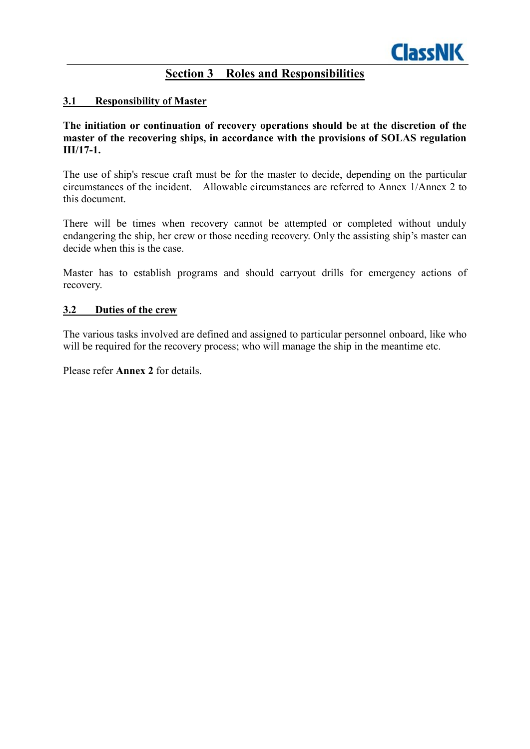### **Section 3 Roles and Responsibilities**

#### **3.1 Responsibility of Master**

#### **The initiation or continuation of recovery operations should be at the discretion of the master of the recovering ships, in accordance with the provisions of SOLAS regulation III/17-1.**

The use of ship's rescue craft must be for the master to decide, depending on the particular circumstances of the incident. Allowable circumstances are referred to Annex 1/Annex 2 to this document.

There will be times when recovery cannot be attempted or completed without unduly endangering the ship, her crew or those needing recovery. Only the assisting ship's master can decide when this is the case.

Master has to establish programs and should carryout drills for emergency actions of recovery.

#### **3.2 Duties of the crew**

The various tasks involved are defined and assigned to particular personnel onboard, like who will be required for the recovery process; who will manage the ship in the meantime etc.

Please refer **Annex 2** for details.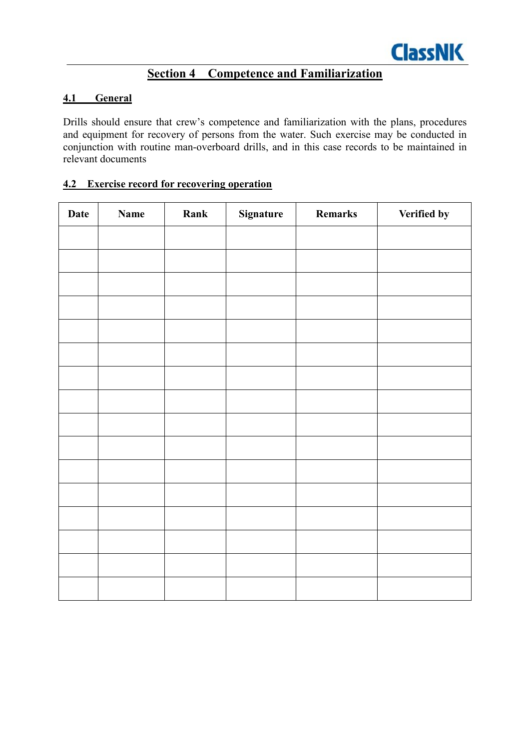## **Section 4 Competence and Familiarization**

#### **4.1 General**

Drills should ensure that crew's competence and familiarization with the plans, procedures and equipment for recovery of persons from the water. Such exercise may be conducted in conjunction with routine man-overboard drills, and in this case records to be maintained in relevant documents

#### **4.2 Exercise record for recovering operation**

| <b>Date</b> | <b>Name</b> | Rank | <b>Signature</b> | <b>Remarks</b> | Verified by |
|-------------|-------------|------|------------------|----------------|-------------|
|             |             |      |                  |                |             |
|             |             |      |                  |                |             |
|             |             |      |                  |                |             |
|             |             |      |                  |                |             |
|             |             |      |                  |                |             |
|             |             |      |                  |                |             |
|             |             |      |                  |                |             |
|             |             |      |                  |                |             |
|             |             |      |                  |                |             |
|             |             |      |                  |                |             |
|             |             |      |                  |                |             |
|             |             |      |                  |                |             |
|             |             |      |                  |                |             |
|             |             |      |                  |                |             |
|             |             |      |                  |                |             |
|             |             |      |                  |                |             |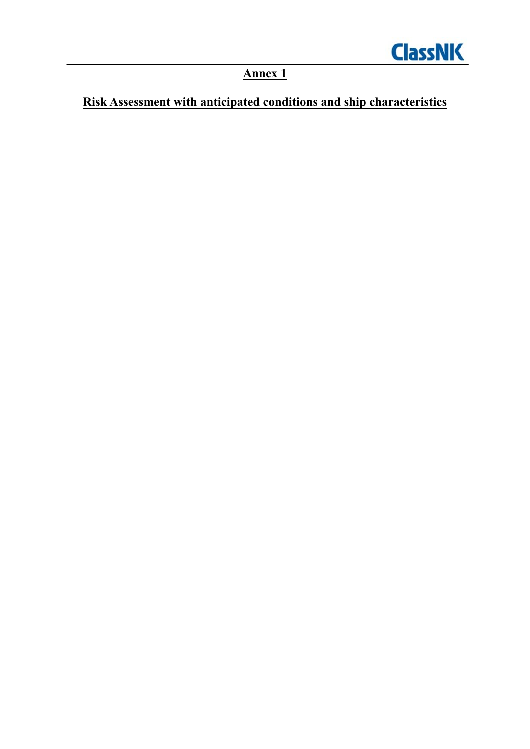

**Annex 1**

# **Risk Assessment with anticipated conditions and ship characteristics**